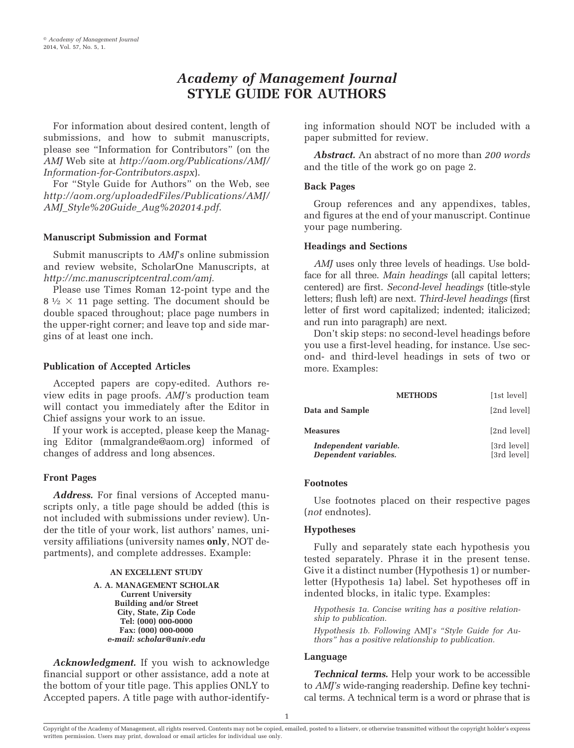# *Academy of Management Journal* **STYLE GUIDE FOR AUTHORS**

For information about desired content, length of submissions, and how to submit manuscripts, please see "Information for Contributors" (on the *AMJ* Web site at *[http://aom.org/Publications/AMJ/](http://aom.org/Publications/AMJ/Information-for-Contributors.aspx) [Information-for-Contributors.aspx](http://aom.org/Publications/AMJ/Information-for-Contributors.aspx)*).

For "Style Guide for Authors" on the Web, see *[http://aom.org/uploadedFiles/Publications/AMJ/](http://aom.org/uploadedFiles/Publications/AMJ/AMJ_Style%20Guide_Aug%202014.pdf) [AMJ\\_Style%20Guide\\_Aug%202014.pdf](http://aom.org/uploadedFiles/Publications/AMJ/AMJ_Style%20Guide_Aug%202014.pdf)*.

## **Manuscript Submission and Format**

Submit manuscripts to *AMJ*'s online submission and review website, ScholarOne Manuscripts, at *http://mc.manuscriptcentral.com/amj.*

Please use Times Roman 12-point type and the  $8\frac{1}{2} \times 11$  page setting. The document should be double spaced throughout; place page numbers in the upper-right corner; and leave top and side margins of at least one inch.

## **Publication of Accepted Articles**

Accepted papers are copy-edited. Authors review edits in page proofs. *AMJ'*s production team will contact you immediately after the Editor in Chief assigns your work to an issue.

If your work is accepted, please keep the Managing Editor (mmalgrande@aom.org) informed of changes of address and long absences.

# **Front Pages**

*Address.* For final versions of Accepted manuscripts only, a title page should be added (this is not included with submissions under review). Under the title of your work, list authors' names, university affiliations (university names **only**, NOT departments), and complete addresses. Example:

#### **AN EXCELLENT STUDY**

**A. A. MANAGEMENT SCHOLAR Current University Building and/or Street City, State, Zip Code Tel: (000) 000-0000 Fax: (000) 000-0000** *e-mail: scholar@univ.edu*

*Acknowledgment.* If you wish to acknowledge financial support or other assistance, add a note at the bottom of your title page. This applies ONLY to Accepted papers. A title page with author-identifying information should NOT be included with a paper submitted for review.

*Abstract.* An abstract of no more than *200 words* and the title of the work go on page 2.

## **Back Pages**

Group references and any appendixes, tables, and figures at the end of your manuscript. Continue your page numbering.

## **Headings and Sections**

*AMJ* uses only three levels of headings. Use boldface for all three. *Main headings* (all capital letters; centered) are first. *Second-level headings* (title-style letters; flush left) are next. *Third-level headings* (first letter of first word capitalized; indented; italicized; and run into paragraph) are next.

Don't skip steps: no second-level headings before you use a first-level heading, for instance. Use second- and third-level headings in sets of two or more. Examples:

|                                               | <b>METHODS</b> | [1st level]                |
|-----------------------------------------------|----------------|----------------------------|
| Data and Sample                               |                | [2nd level]                |
| <b>Measures</b>                               |                | [2nd level]                |
| Independent variable.<br>Dependent variables. |                | [3rd level]<br>[3rd level] |

## **Footnotes**

Use footnotes placed on their respective pages (*not* endnotes).

## **Hypotheses**

Fully and separately state each hypothesis you tested separately. Phrase it in the present tense. Give it a distinct number (Hypothesis 1) or numberletter (Hypothesis 1a) label. Set hypotheses off in indented blocks, in italic type. Examples:

*Hypothesis 1a. Concise writing has a positive relationship to publication.*

*Hypothesis 1b. Following* AMJ'*s "Style Guide for Authors" has a positive relationship to publication.*

## **Language**

*Technical terms.* Help your work to be accessible to *AMJ's* wide-ranging readership. Define key technical terms. A technical term is a word or phrase that is

Copyright of the Academy of Management, all rights reserved. Contents may not be copied, emailed, posted to a listserv, or otherwise transmitted without the copyright holder's express written permission. Users may print, download or email articles for individual use only.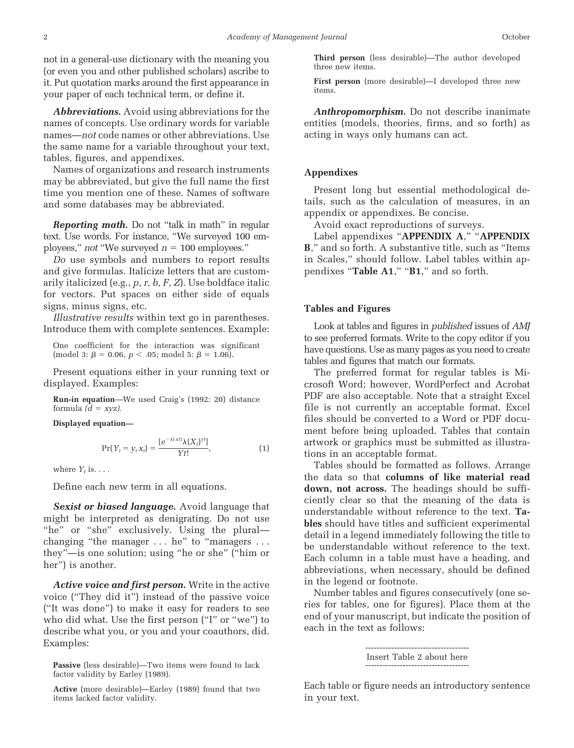not in a general-use dictionary with the meaning you (or even you and other published scholars) ascribe to it. Put quotation marks around the first appearance in your paper of each technical term, or define it.

*Abbreviations.* Avoid using abbreviations for the names of concepts. Use ordinary words for variable names—*not* code names or other abbreviations. Use the same name for a variable throughout your text, tables, figures, and appendixes.

Names of organizations and research instruments may be abbreviated, but give the full name the first time you mention one of these. Names of software and some databases may be abbreviated.

*Reporting math.* Do not "talk in math" in regular text. Use words. For instance, "We surveyed 100 employees," *not* "We surveyed  $n = 100$  employees."

*Do* use symbols and numbers to report results and give formulas. Italicize letters that are customarily italicized (e.g., *p, r, b, F, Z*). Use boldface italic for vectors. Put spaces on either side of equals signs, minus signs, etc.

*Illustrative results* within text go in parentheses. Introduce them with complete sentences. Example:

One coefficient for the interaction was significant  $\pmod{3: \beta = 0.06, p < .05; \bmod{5: \beta = 1.06}}$ .

Present equations either in your running text or displayed. Examples:

**Run-in equation**—We used Craig's (1992: 20) distance formula  $(d = xyz)$ .

**Displayed equation—**

$$
\Pr(Y_t = y_t x_t) = \frac{[e^{-\lambda(xt)}\lambda(X_t)^{yt}]}{Yt!},
$$
\n(1)

where  $Y_t$  is. . . .

Define each new term in all equations.

*Sexist or biased language.* Avoid language that might be interpreted as denigrating. Do not use "he" or "she" exclusively. Using the plural changing "the manager . . . he" to "managers . . . they"—is one solution; using "he or she" ("him or her") is another.

*Active voice and first person.* Write in the active voice ("They did it") instead of the passive voice ("It was done") to make it easy for readers to see who did what. Use the first person ("I" or "we") to describe what you, or you and your coauthors, did. Examples:

**Third person** (less desirable)—The author developed three new items.

**First person** (more desirable)—I developed three new items.

*Anthropomorphism.* Do not describe inanimate entities (models, theories, firms, and so forth) as acting in ways only humans can act.

#### **Appendixes**

Present long but essential methodological details, such as the calculation of measures, in an appendix or appendixes. Be concise.

Avoid exact reproductions of surveys.

Label appendixes "**APPENDIX A**," "**APPENDIX B**," and so forth. A substantive title, such as "Items in Scales," should follow. Label tables within appendixes "**Table A1**," "**B1**," and so forth.

#### **Tables and Figures**

Look at tables and figures in *published* issues of *AMJ* to see preferred formats. Write to the copy editor if you have questions. Use as many pages as you need to create tables and figures that match our formats.

The preferred format for regular tables is Microsoft Word; however, WordPerfect and Acrobat PDF are also acceptable. Note that a straight Excel file is not currently an acceptable format. Excel files should be converted to a Word or PDF document before being uploaded. Tables that contain artwork or graphics must be submitted as illustrations in an acceptable format.

Tables should be formatted as follows. Arrange the data so that **columns of like material read down, not across.** The headings should be sufficiently clear so that the meaning of the data is understandable without reference to the text. **Tables** should have titles and sufficient experimental detail in a legend immediately following the title to be understandable without reference to the text. Each column in a table must have a heading, and abbreviations, when necessary, should be defined in the legend or footnote.

Number tables and figures consecutively (one series for tables, one for figures). Place them at the end of your manuscript, but indicate the position of each in the text as follows:

```
------------------------------------
Insert Table 2 about here
------------------------------------
```
Each table or figure needs an introductory sentence in your text.

**Passive** (less desirable)—Two items were found to lack factor validity by Earley (1989).

**Active** (more desirable)—Earley (1989) found that two items lacked factor validity.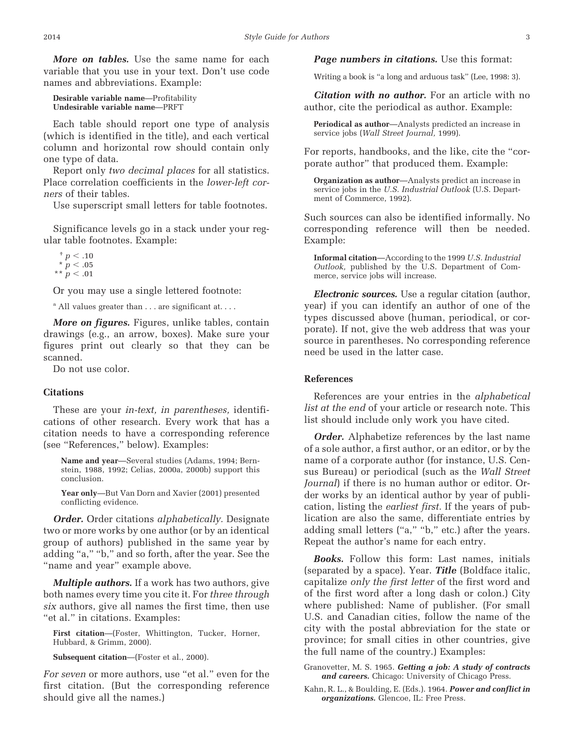*More on tables.* Use the same name for each variable that you use in your text. Don't use code names and abbreviations. Example:

**Desirable variable name**—Profitability **Undesirable variable name**—PRFT

Each table should report one type of analysis (which is identified in the title), and each vertical column and horizontal row should contain only one type of data.

Report only *two decimal places* for all statistics. Place correlation coefficients in the *lower-left corners* of their tables.

Use superscript small letters for table footnotes.

Significance levels go in a stack under your regular table footnotes. Example:

 $^{+}$  *p*  $< .10$  $*$   $p < .05$  $*$  *p*  $< .01$ 

Or you may use a single lettered footnote:

 $^a$  All values greater than  $\dots$  are significant at....

*More on figures.* Figures, unlike tables, contain drawings (e.g., an arrow, boxes). Make sure your figures print out clearly so that they can be scanned.

Do not use color.

#### **Citations**

These are your *in-text, in parentheses,* identifications of other research. Every work that has a citation needs to have a corresponding reference (see "References," below). Examples:

**Name and year**—Several studies (Adams, 1994; Bernstein, 1988, 1992; Celias, 2000a, 2000b) support this conclusion.

**Year only**—But Van Dorn and Xavier (2001) presented conflicting evidence.

*Order.* Order citations *alphabetically.* Designate two or more works by one author (or by an identical group of authors) published in the same year by adding "a," "b," and so forth, after the year. See the "name and year" example above.

*Multiple authors.* If a work has two authors, give both names every time you cite it. For *three through six* authors, give all names the first time, then use "et al." in citations. Examples:

**First citation**—(Foster, Whittington, Tucker, Horner, Hubbard, & Grimm, 2000).

**Subsequent citation**—(Foster et al., 2000).

*For seven* or more authors, use "et al." even for the first citation. (But the corresponding reference should give all the names.)

*Page numbers in citations.* Use this format:

Writing a book is "a long and arduous task" (Lee, 1998: 3).

*Citation with no author.* For an article with no author, cite the periodical as author. Example:

**Periodical as author**—Analysts predicted an increase in service jobs (*Wall Street Journal,* 1999).

For reports, handbooks, and the like, cite the "corporate author" that produced them. Example:

**Organization as author**—Analysts predict an increase in service jobs in the *U.S. Industrial Outlook* (U.S. Department of Commerce, 1992).

Such sources can also be identified informally. No corresponding reference will then be needed. Example:

**Informal citation**—According to the 1999 *U.S. Industrial Outlook,* published by the U.S. Department of Commerce, service jobs will increase.

*Electronic sources.* Use a regular citation (author, year) if you can identify an author of one of the types discussed above (human, periodical, or corporate). If not, give the web address that was your source in parentheses. No corresponding reference need be used in the latter case.

#### **References**

References are your entries in the *alphabetical list at the end* of your article or research note. This list should include only work you have cited.

*Order.* Alphabetize references by the last name of a sole author, a first author, or an editor, or by the name of a corporate author (for instance, U.S. Census Bureau) or periodical (such as the *Wall Street Journal*) if there is no human author or editor. Order works by an identical author by year of publication, listing the *earliest first.* If the years of publication are also the same, differentiate entries by adding small letters ("a," "b," etc.) after the years. Repeat the author's name for each entry.

*Books.* Follow this form: Last names, initials (separated by a space). Year. *Title* (Boldface italic, capitalize *only the first letter* of the first word and of the first word after a long dash or colon.) City where published: Name of publisher. (For small U.S. and Canadian cities, follow the name of the city with the postal abbreviation for the state or province; for small cities in other countries, give the full name of the country.) Examples:

Granovetter, M. S. 1965. *Getting a job: A study of contracts and careers.* Chicago: University of Chicago Press.

Kahn, R. L., & Boulding, E. (Eds.). 1964. *Power and conflict in organizations.* Glencoe, IL: Free Press.